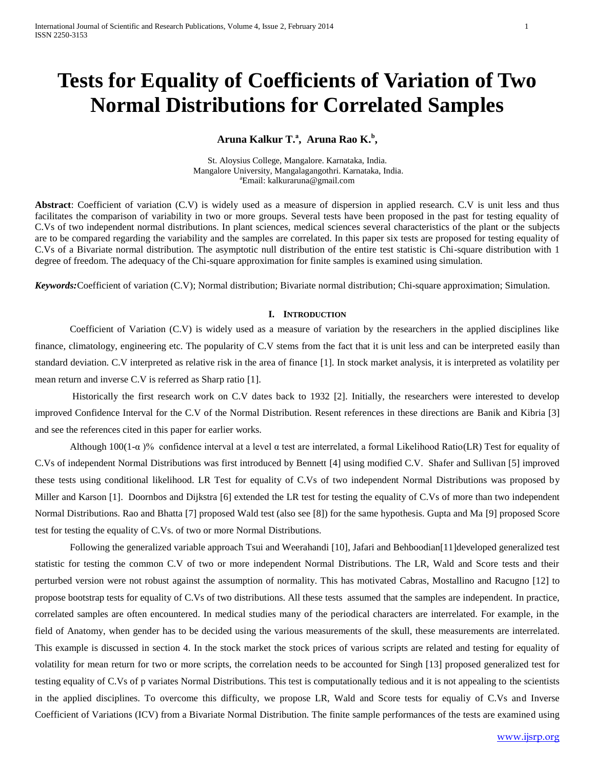# **Tests for Equality of Coefficients of Variation of Two Normal Distributions for Correlated Samples**

## **Aruna Kalkur T.<sup>a</sup> , Aruna Rao K.<sup>b</sup> ,**

St. Aloysius College, Mangalore. Karnataka, India. Mangalore University, Mangalagangothri. Karnataka, India. <sup>a</sup>Email: kalkuraruna@gmail.com

**Abstract**: Coefficient of variation (C.V) is widely used as a measure of dispersion in applied research. C.V is unit less and thus facilitates the comparison of variability in two or more groups. Several tests have been proposed in the past for testing equality of C.Vs of two independent normal distributions. In plant sciences, medical sciences several characteristics of the plant or the subjects are to be compared regarding the variability and the samples are correlated. In this paper six tests are proposed for testing equality of C.Vs of a Bivariate normal distribution. The asymptotic null distribution of the entire test statistic is Chi-square distribution with 1 degree of freedom. The adequacy of the Chi-square approximation for finite samples is examined using simulation.

*Keywords:*Coefficient of variation (C.V); Normal distribution; Bivariate normal distribution; Chi-square approximation; Simulation.

## **I. INTRODUCTION**

Coefficient of Variation (C.V) is widely used as a measure of variation by the researchers in the applied disciplines like finance, climatology, engineering etc. The popularity of C.V stems from the fact that it is unit less and can be interpreted easily than standard deviation. C.V interpreted as relative risk in the area of finance [1]. In stock market analysis, it is interpreted as volatility per mean return and inverse C.V is referred as Sharp ratio [1].

Historically the first research work on C.V dates back to 1932 [2]. Initially, the researchers were interested to develop improved Confidence Interval for the C.V of the Normal Distribution. Resent references in these directions are Banik and Kibria [3] and see the references cited in this paper for earlier works.

Although 100(1-α)% confidence interval at a level α test are interrelated, a formal Likelihood Ratio(LR) Test for equality of C.Vs of independent Normal Distributions was first introduced by Bennett [4] using modified C.V. Shafer and Sullivan [5] improved these tests using conditional likelihood. LR Test for equality of C.Vs of two independent Normal Distributions was proposed by Miller and Karson [1]. Doornbos and Dijkstra [6] extended the LR test for testing the equality of C.Vs of more than two independent Normal Distributions. Rao and Bhatta [7] proposed Wald test (also see [8]) for the same hypothesis. Gupta and Ma [9] proposed Score test for testing the equality of C.Vs. of two or more Normal Distributions.

Following the generalized variable approach Tsui and Weerahandi [10], Jafari and Behboodian[11]developed generalized test statistic for testing the common C.V of two or more independent Normal Distributions. The LR, Wald and Score tests and their perturbed version were not robust against the assumption of normality. This has motivated Cabras, Mostallino and Racugno [12] to propose bootstrap tests for equality of C.Vs of two distributions. All these tests assumed that the samples are independent. In practice, correlated samples are often encountered. In medical studies many of the periodical characters are interrelated. For example, in the field of Anatomy, when gender has to be decided using the various measurements of the skull, these measurements are interrelated. This example is discussed in section 4. In the stock market the stock prices of various scripts are related and testing for equality of volatility for mean return for two or more scripts, the correlation needs to be accounted for Singh [13] proposed generalized test for testing equality of C.Vs of p variates Normal Distributions. This test is computationally tedious and it is not appealing to the scientists in the applied disciplines. To overcome this difficulty, we propose LR, Wald and Score tests for equaliy of C.Vs and Inverse Coefficient of Variations (ICV) from a Bivariate Normal Distribution. The finite sample performances of the tests are examined using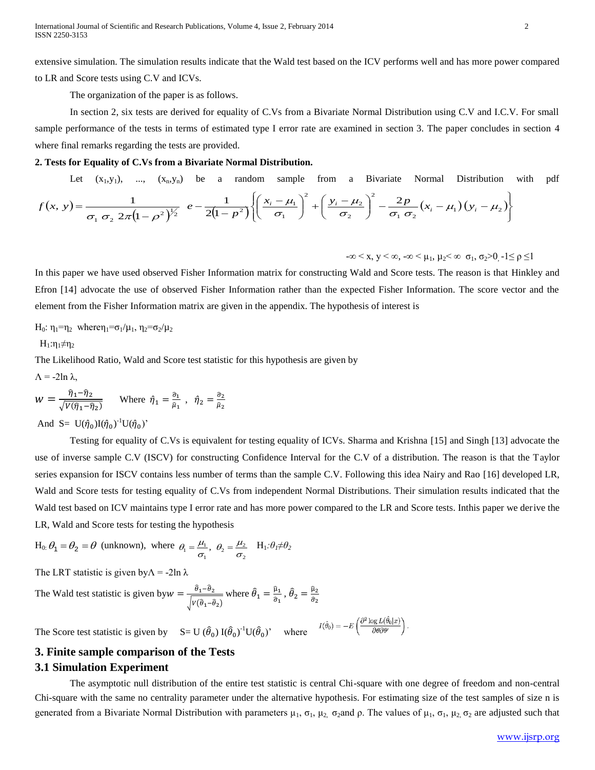extensive simulation. The simulation results indicate that the Wald test based on the ICV performs well and has more power compared to LR and Score tests using C.V and ICVs.

The organization of the paper is as follows.

In section 2, six tests are derived for equality of C.Vs from a Bivariate Normal Distribution using C.V and I.C.V. For small sample performance of the tests in terms of estimated type I error rate are examined in section 3. The paper concludes in section 4 where final remarks regarding the tests are provided.

### **2. Tests for Equality of C.Vs from a Bivariate Normal Distribution.**

Let  $(x_1,y_1)$ , ...,  $(x_n,y_n)$  be a random sample from a Bivariate Normal Distribution with pdf  $(x, y)$  $\frac{(1-\rho^2)^{\frac{1}{2}}}{}_{2}\left(e-\frac{1}{2(1-\rho^2)}\right)\left(\frac{x_i-\mu_1}{\sigma_1}\right) \ +\left(\frac{y_i-\mu_2}{\sigma_2}\right) \ -\frac{2p}{\sigma_1 \sigma_2}(x_i-\mu_1)(y_i-\mu_2).$  $\int$  $\downarrow$  $\overline{1}$  $\overline{\mathcal{L}}$  $\int$  $\int$  $-\frac{2p}{\sigma \sigma}(x_i-\mu_i)(y_i-\mu_i)$ J  $\overline{\phantom{0}}$  $\left(\right)$  $\setminus$  $\int_{}^{2} + \left( \frac{y_i -}{\sigma} \right)$  $\int$  $\overline{\phantom{0}}$  $\left(\right)$  $\setminus$  $\left(x_i\right)$  $-\frac{1}{2(1-1)}$  $\overline{a}$  $= \frac{1}{\sigma_1 \sigma_2 2\pi (1-\rho^2)^{1/2}} e^{-\frac{1}{2(1-\rho^2)}} \left\{ \left( \frac{x_i - \mu_1}{\sigma_1} \right) + \left( \frac{y_i - \mu_2}{\sigma_2} \right) - \frac{2p}{\sigma_1 \sigma_2} (x_i - \mu_1) (y_i - \mu_2) \right\}$ 2 2 <sup>2</sup> 2 1  $\frac{1}{2\pi (1-\rho^2)^{1/2}} e^{-\frac{1}{2(1-\rho^2)}} \left\{ \left( \frac{x_i-\mu_1}{\sigma_1} \right)^2 \right\}$ 2  $2(1)$ 1  $2\pi (1$  $f(x, y) = \frac{1}{\sigma_1 \sigma_2^2 \sqrt{2}} \left[ e^{-\frac{1}{2(1-p^2)}} \right] \left( \frac{x_i - \mu_1}{\sigma_1} \right)^2 + \left( \frac{y_i - \mu_2}{\sigma_2} \right)^2 - \frac{2p}{\sigma_1 \sigma_2} (x_i - \mu_1)(y_i - \mu_2)$  $\mu$ σ  $\mu_{\scriptscriptstyle 1}$  $\sigma_1 \sigma_2 2\pi (I - \rho)$  $\left(\frac{x_i - \mu_1}{\sigma}\right)^2 + \left(\frac{y_i - \mu_2}{\sigma}\right)^2 - \frac{2p}{\sigma_1 \sigma_2} (x_i - \mu_1)(y_i)$  $f(x, y) = \frac{1}{\sigma_1 \sigma_2 \cdot 2\pi (1 - \sigma^2)^{\frac{1}{2}}} e^{-\frac{1}{2(1 - p)}}$ 

 $-\infty < x, y < \infty, -\infty < \mu_1, \mu_2 < \infty \quad \sigma_1, \sigma_2 > 0 \quad 1 \le \rho \le 1$ 

In this paper we have used observed Fisher Information matrix for constructing Wald and Score tests. The reason is that Hinkley and Efron [14] advocate the use of observed Fisher Information rather than the expected Fisher Information. The score vector and the element from the Fisher Information matrix are given in the appendix. The hypothesis of interest is

H<sub>0</sub>: η<sub>1</sub>=η<sub>2</sub> wheren<sub>1</sub>=σ<sub>1</sub>/μ<sub>1</sub>, η<sub>2</sub>=σ<sub>2</sub>/μ<sub>2</sub>

 $H_1: \eta_1 \neq \eta_2$ 

The Likelihood Ratio, Wald and Score test statistic for this hypothesis are given by

 $Λ = -2ln λ$ ,

$$
W = \frac{\hat{\eta}_1 - \hat{\eta}_2}{\sqrt{V(\hat{\eta}_1 - \hat{\eta}_2)}}
$$
 Where  $\hat{\eta}_1 = \frac{\hat{\sigma}_1}{\hat{\mu}_1}$ ,  $\hat{\eta}_2 = \frac{\hat{\sigma}_2}{\hat{\mu}_2}$ 

And S=  $U(\hat{\eta}_0)I(\hat{\eta}_0)^{-1}U(\hat{\eta}_0)$ '

Testing for equality of C.Vs is equivalent for testing equality of ICVs. Sharma and Krishna [15] and Singh [13] advocate the use of inverse sample C.V (ISCV) for constructing Confidence Interval for the C.V of a distribution. The reason is that the Taylor series expansion for ISCV contains less number of terms than the sample C.V. Following this idea Nairy and Rao [16] developed LR, Wald and Score tests for testing equality of C.Vs from independent Normal Distributions. Their simulation results indicated that the Wald test based on ICV maintains type I error rate and has more power compared to the LR and Score tests. Inthis paper we derive the LR, Wald and Score tests for testing the hypothesis

H<sub>0</sub>: 
$$
\theta_1 = \theta_2 = \theta
$$
 (unknown), where  $\theta_1 = \frac{\mu_1}{\sigma_1}$ ,  $\theta_2 = \frac{\mu_2}{\sigma_2}$  H<sub>1</sub>: $\theta_1 \neq \theta_2$ 

The LRT statistic is given by $\Lambda$  = -2ln  $\lambda$ 

The Wald test statistic is given by  $w = \frac{\hat{\theta}_1 - \hat{\theta}_2}{\sqrt{\sum_{i=1}^{n} \hat{\theta}_2}}$  $\sqrt{V(\hat{\theta}_1-\hat{\theta}_2)}$ where  $\hat{\theta}_1 = \frac{\hat{\mu}_1}{\hat{\sigma}_1}$  $\frac{\widehat{\mu}_1}{\widehat{\sigma}_1}$  ,  $\widehat{\theta}_2 = \frac{\widehat{\mu}_2}{\widehat{\sigma}_2}$  $\widehat{\sigma}_2$ 

The Score test statistic is given by  $S = U(\hat{\theta}_0) I(\hat{\theta}_0)^{-1} U(\hat{\theta}_0)^{\gamma}$  where

# **3. Finite sample comparison of the Tests 3.1 Simulation Experiment**

The asymptotic null distribution of the entire test statistic is central Chi-square with one degree of freedom and non-central Chi-square with the same no centrality parameter under the alternative hypothesis. For estimating size of the test samples of size n is generated from a Bivariate Normal Distribution with parameters  $\mu_1$ ,  $\sigma_1$ ,  $\mu_2$ ,  $\sigma_2$  and  $\rho$ . The values of  $\mu_1$ ,  $\sigma_1$ ,  $\mu_2$ ,  $\sigma_2$  are adjusted such that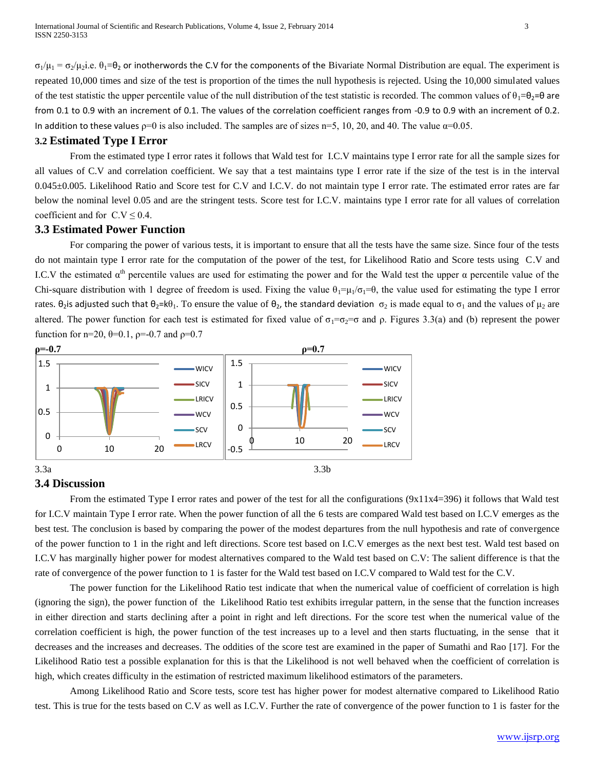$\sigma_1/\mu_1 = \sigma_2/\mu_2$ .e.  $\theta_1 = \theta_2$  or inotherwords the C.V for the components of the Bivariate Normal Distribution are equal. The experiment is repeated 10,000 times and size of the test is proportion of the times the null hypothesis is rejected. Using the 10,000 simulated values of the test statistic the upper percentile value of the null distribution of the test statistic is recorded. The common values of  $\theta_1 = \theta_2 = \theta$  are from 0.1 to 0.9 with an increment of 0.1. The values of the correlation coefficient ranges from -0.9 to 0.9 with an increment of 0.2. In addition to these values  $p=0$  is also included. The samples are of sizes n=5, 10, 20, and 40. The value  $\alpha$ =0.05.

## **3.2 Estimated Type I Error**

From the estimated type I error rates it follows that Wald test for I.C.V maintains type I error rate for all the sample sizes for all values of C.V and correlation coefficient. We say that a test maintains type I error rate if the size of the test is in the interval 0.045±0.005. Likelihood Ratio and Score test for C.V and I.C.V. do not maintain type I error rate. The estimated error rates are far below the nominal level 0.05 and are the stringent tests. Score test for I.C.V. maintains type I error rate for all values of correlation coefficient and for  $C.V \leq 0.4$ .

## **3.3 Estimated Power Function**

For comparing the power of various tests, it is important to ensure that all the tests have the same size. Since four of the tests do not maintain type I error rate for the computation of the power of the test, for Likelihood Ratio and Score tests using C.V and I.C.V the estimated  $\alpha^{th}$  percentile values are used for estimating the power and for the Wald test the upper  $\alpha$  percentile value of the Chi-square distribution with 1 degree of freedom is used. Fixing the value  $\theta_1 = \mu_1/\sigma_1 = \theta$ , the value used for estimating the type I error rates.  $\theta_2$  is adjusted such that  $\theta_2 = k\theta_1$ . To ensure the value of  $\theta_2$ , the standard deviation  $\sigma_2$  is made equal to  $\sigma_1$  and the values of μ<sub>2</sub> are altered. The power function for each test is estimated for fixed value of  $\sigma_1 = \sigma_2 = \sigma$  and  $\rho$ . Figures 3.3(a) and (b) represent the power function for n=20,  $\theta$ =0.1,  $\rho$ =-0.7 and  $\rho$ =0.7



## **3.4 Discussion**

From the estimated Type I error rates and power of the test for all the configurations (9x11x4=396) it follows that Wald test for I.C.V maintain Type I error rate. When the power function of all the 6 tests are compared Wald test based on I.C.V emerges as the best test. The conclusion is based by comparing the power of the modest departures from the null hypothesis and rate of convergence of the power function to 1 in the right and left directions. Score test based on I.C.V emerges as the next best test. Wald test based on I.C.V has marginally higher power for modest alternatives compared to the Wald test based on C.V: The salient difference is that the rate of convergence of the power function to 1 is faster for the Wald test based on I.C.V compared to Wald test for the C.V.

The power function for the Likelihood Ratio test indicate that when the numerical value of coefficient of correlation is high (ignoring the sign), the power function of the Likelihood Ratio test exhibits irregular pattern, in the sense that the function increases in either direction and starts declining after a point in right and left directions. For the score test when the numerical value of the correlation coefficient is high, the power function of the test increases up to a level and then starts fluctuating, in the sense that it decreases and the increases and decreases. The oddities of the score test are examined in the paper of Sumathi and Rao [17]. For the Likelihood Ratio test a possible explanation for this is that the Likelihood is not well behaved when the coefficient of correlation is high, which creates difficulty in the estimation of restricted maximum likelihood estimators of the parameters.

Among Likelihood Ratio and Score tests, score test has higher power for modest alternative compared to Likelihood Ratio test. This is true for the tests based on C.V as well as I.C.V. Further the rate of convergence of the power function to 1 is faster for the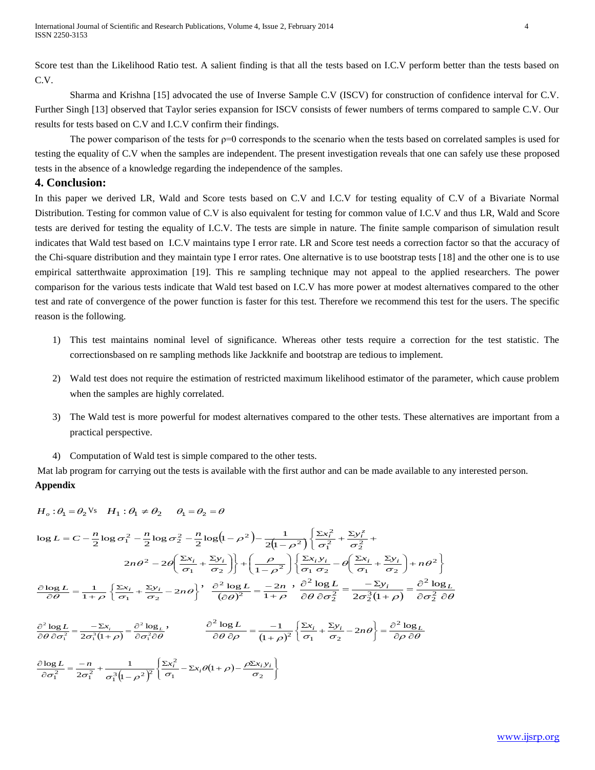Score test than the Likelihood Ratio test. A salient finding is that all the tests based on I.C.V perform better than the tests based on C.V.

Sharma and Krishna [15] advocated the use of Inverse Sample C.V (ISCV) for construction of confidence interval for C.V. Further Singh [13] observed that Taylor series expansion for ISCV consists of fewer numbers of terms compared to sample C.V. Our results for tests based on C.V and I.C.V confirm their findings.

The power comparison of the tests for  $p=0$  corresponds to the scenario when the tests based on correlated samples is used for testing the equality of C.V when the samples are independent. The present investigation reveals that one can safely use these proposed tests in the absence of a knowledge regarding the independence of the samples.

## **4. Conclusion:**

In this paper we derived LR, Wald and Score tests based on C.V and I.C.V for testing equality of C.V of a Bivariate Normal Distribution. Testing for common value of C.V is also equivalent for testing for common value of I.C.V and thus LR, Wald and Score tests are derived for testing the equality of I.C.V. The tests are simple in nature. The finite sample comparison of simulation result indicates that Wald test based on I.C.V maintains type I error rate. LR and Score test needs a correction factor so that the accuracy of the Chi-square distribution and they maintain type I error rates. One alternative is to use bootstrap tests [18] and the other one is to use empirical satterthwaite approximation [19]. This re sampling technique may not appeal to the applied researchers. The power comparison for the various tests indicate that Wald test based on I.C.V has more power at modest alternatives compared to the other test and rate of convergence of the power function is faster for this test. Therefore we recommend this test for the users. The specific reason is the following.

- 1) This test maintains nominal level of significance. Whereas other tests require a correction for the test statistic. The correctionsbased on re sampling methods like Jackknife and bootstrap are tedious to implement.
- 2) Wald test does not require the estimation of restricted maximum likelihood estimator of the parameter, which cause problem when the samples are highly correlated.
- 3) The Wald test is more powerful for modest alternatives compared to the other tests. These alternatives are important from a practical perspective.
- 4) Computation of Wald test is simple compared to the other tests.

Mat lab program for carrying out the tests is available with the first author and can be made available to any interested person. **Appendix**

$$
H_o: \theta_1 = \theta_2 \text{ Vs} \quad H_1: \theta_1 \neq \theta_2 \quad \theta_1 = \theta_2 = \theta
$$

$$
\log L = C - \frac{n}{2} \log \sigma_1^2 - \frac{n}{2} \log \sigma_2^2 - \frac{n}{2} \log (1 - \rho^2) - \frac{1}{2(1 - \rho^2)} \left\{ \frac{\Sigma x_i^2}{\sigma_1^2} + \frac{\Sigma y_i^2}{\sigma_2^2} + \frac{2\omega_i^2}{\sigma_2^2} + \frac{2\omega_i^2}{\sigma_1^2} - 2\theta \left( \frac{\Sigma x_i}{\sigma_1} + \frac{\Sigma y_i}{\sigma_2} \right) \right\} + \left( \frac{\rho}{1 - \rho^2} \right) \left\{ \frac{\Sigma x_i y_i}{\sigma_1 \sigma_2} - \theta \left( \frac{\Sigma x_i}{\sigma_1} + \frac{\Sigma y_i}{\sigma_2} \right) + n\theta^2 \right\}
$$

$$
\frac{\partial \log L}{\partial \theta} = \frac{1}{1 + \rho} \left\{ \frac{\Sigma x_i}{\sigma_1} + \frac{\Sigma y_i}{\sigma_2} - 2n\theta \right\}, \quad \frac{\partial^2 \log L}{(\partial \theta)^2} = \frac{-2n}{1 + \rho}, \quad \frac{\partial^2 \log L}{\partial \theta \partial \sigma_2^2} = \frac{-\Sigma y_i}{2\sigma_2^3 (1 + \rho)} = \frac{\partial^2 \log L}{\partial \sigma_2^2 \partial \theta}
$$

 $\overline{\theta \partial \sigma_1^2} = \overline{2\sigma_1^3(1+\rho)} = \overline{\partial \sigma_1^2 \partial \theta}$  $\frac{x_i}{+\rho} = \frac{\partial}{\partial}$  $\frac{\partial^2 \log L}{\partial \theta \partial \sigma_1^2} = \frac{-\Sigma}{2\sigma_1^3(1)}$  $\frac{\partial^2 \log L}{\partial \theta \partial \sigma_1^2} = \frac{-\Sigma x_i}{2\sigma_1^3 (1+\rho)} = \frac{\partial^2 \log \sigma_1^2}{\partial \sigma_1^2}$ 2  $\frac{1}{2}$  =  $\frac{1}{2\sigma_1^3}$  $\int^2 \log L$  –  $-\Sigma x_i$  –  $\partial^2 \log$  $2\sigma_1^3(1)$  $\log L$ <sub>*-*</sub>  $-\Sigma x_i$ <sup>2</sup>  $\log_L$ <sup>2</sup>  $\frac{\partial}{\partial \theta} = \frac{1}{(1+\rho)^2} \left\{ \frac{2\pi}{\sigma_1} + \frac{2\pi}{\sigma_2} - 2n\theta \right\} = \frac{\cos \theta}{\partial \rho} \frac{\partial \theta}{\partial \theta}$  $\frac{\partial}{\partial t} = \frac{\partial}{\partial t}$  $\left\{\frac{\Sigma x_i}{\sigma_1} + \frac{\Sigma y_i}{\sigma_2} - \right.$  $+$  $\frac{2 \log L}{\partial \theta \ \partial \rho} = \frac{-1}{(1+1)^2}$  $\frac{\partial^2 \log L}{\partial \theta \partial \rho} = \frac{-1}{(1+\rho)^2} \left\{ \frac{\Sigma x_i}{\sigma_1} + \frac{\Sigma y_i}{\sigma_2} - 2n\theta \right\} = \frac{\partial^2 \log L}{\partial \rho \partial \theta}$  $\log L = -1 \left[ \sum_{i} x_i \sum_{j} y_i - \sum_{j} \alpha_j \right] - \hat{\sigma}^2$  $\frac{1}{2}$  $\left(\frac{\overline{\sigma_1}}{\sigma_1}+\frac{\overline{\sigma_2}}{\sigma_2}\right)$ 2

$$
\frac{\partial \log L}{\partial \sigma_1^2} = \frac{-n}{2\sigma_1^2} + \frac{1}{\sigma_1^3 (1-\rho^2)^2} \left\{ \frac{\Sigma x_i^2}{\sigma_1} - \Sigma x_i \theta (1+\rho) - \frac{\rho \Sigma x_i y_i}{\sigma_2} \right\}
$$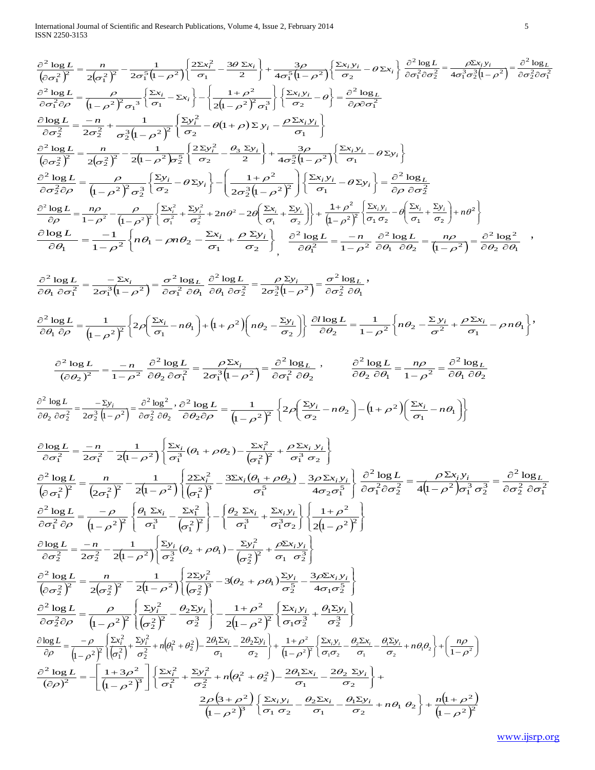International Journal of Scientific and Research Publications, Volume 4, Issue 2, February 2014 5 ISSN 2250-3153

$$
\frac{\partial^2 \log f_1}{\partial x \partial y} = \frac{n}{2(x^2)^2} - \frac{1}{2x^2(1-x^2)} \left\{ \frac{2x^2}{\sigma^2} - \frac{3\sigma^2 x_1}{\sigma^2} \right\} + \frac{3\sigma}{4\sigma^2(1-x^2)} \left\{ \frac{x_1 y_1}{\sigma^2} - \frac{3\sigma^2 y_1}{\sigma^2 \sigma^2} \right\} - \frac{2x_1 y_1}{\sigma^2 \sigma^2} \right\} = \frac{\sigma^2 \log t}{\sigma^2 \sigma^2 t} = \frac{\sigma^2 \log t}{\sigma^2 \sigma^2 t} - \frac{1}{2\sigma^2 \log t} \frac{1}{\sigma^2 \sigma^2 t} = \frac{\sigma^2 \log t}{\sigma^2 \sigma^2 t} - \frac{1}{2\sigma^2 \log t} \frac{1}{\sigma^2 \sigma^2 t} = \frac{\sigma^2 \log t}{\sigma^2 \sigma^2 t} - \frac{1}{2\sigma^2 \log t} \frac{1}{\sigma^2 t} = \frac{1}{2\sigma^2 t} - \frac{1}{2\sigma^2 t} \frac{1}{\sigma^2 t} = \frac{1}{2\sigma^2 t} - \frac{1}{2\sigma^2 t} \frac{1}{\sigma^2 t} = \frac{1}{2\sigma^2 t} - \frac{1}{2\sigma^2 t} \frac{1}{\sigma^2 t} = \frac{1}{2\sigma^2 t} - \frac{1}{2\sigma^2 t} \frac{1}{\sigma^2 t} = \frac{1}{2\sigma^2 t} - \frac{1}{2\sigma^2 t} \frac{1}{\sigma^2 t} = \frac{1}{2\sigma^2 t} - \frac{1}{2\sigma^2 t} \frac{1}{\sigma^2 t} = \frac{1}{2\sigma^2 t} - \frac{1}{2\sigma^2 t} \frac{1}{\sigma^2 t} = \frac{1}{2\sigma^2 t} - \frac{1}{2\sigma^2 t} \frac{1}{\sigma^2 t} = \frac{1}{2\sigma^2 t} - \frac{1}{2\sigma^2 t} \frac{1}{\sigma^2 t} = \frac{1}{2\sigma^2 t} - \frac{1}{2\sigma^2 t} \frac{1}{\sigma^2 t} = \frac{1}{2\sigma^2 t} - \frac{1}{2\sigma^2 t} \frac{1}{\sigma^2 t} = \frac{1}{2\sigma
$$

 $(3+\rho^2)$  $(1-\rho^2)^3$ 

 $\rho$  | 3 +  $\rho$ 

1  $2\rho$ (3

 $\overline{a}$  $^{+}$ 

 $\rho^2$ |  $\sigma_1$   $\sigma$ 

J

 $\varphi$ 

L

2

 $\frac{1}{2}$ <sup>3</sup>  $\frac{1}{\sigma_1}$ 

 $\rho^2$ <sup>2</sup>  $(\sigma_1 \sigma)$ 

 $(1+\rho^2)$  $\frac{1}{(1-\rho^2)^2}$ 

 $\overline{\rho}$ 

1 1

 $\overline{a}$  $+\frac{n(1+1)}{1}$ 

 $\frac{\partial u}{\partial x} + n\theta_1 \theta_2$ 

 $\frac{12y_i}{\sigma_2} + n\theta_1 \theta_2 + \frac{n(1+\rho)}{n}$ 

 $\bigg\}$ 

 $\frac{1}{1}$ 

 $\frac{x_i y_i}{x_i} - \frac{\theta_2 \Sigma x_i}{x_i} - \frac{\theta_1 \Sigma y_i}{x_i} + n \theta_1 \theta_2 + \frac{n \Sigma x_i}{x_i}$ 

 $\theta_1$ 

 $\sigma$ 

2

1  $\overline{2}$ 

 $\frac{\partial_i y_i}{\partial x_i} - \frac{\partial_2 \Sigma x_i}{\partial x_i} - \frac{\partial_1 \Sigma y_i}{\partial x_i}$ 

 $\sigma$ Θ.

 $\left\{\frac{\Sigma x_i y_i}{\sigma_1 \sigma_2} - \frac{\theta_2 \Sigma x_i}{\sigma_1} - \frac{\theta_1 \Sigma y_i}{\sigma_2} + \right.$ 

1

 $\sigma$ 

2